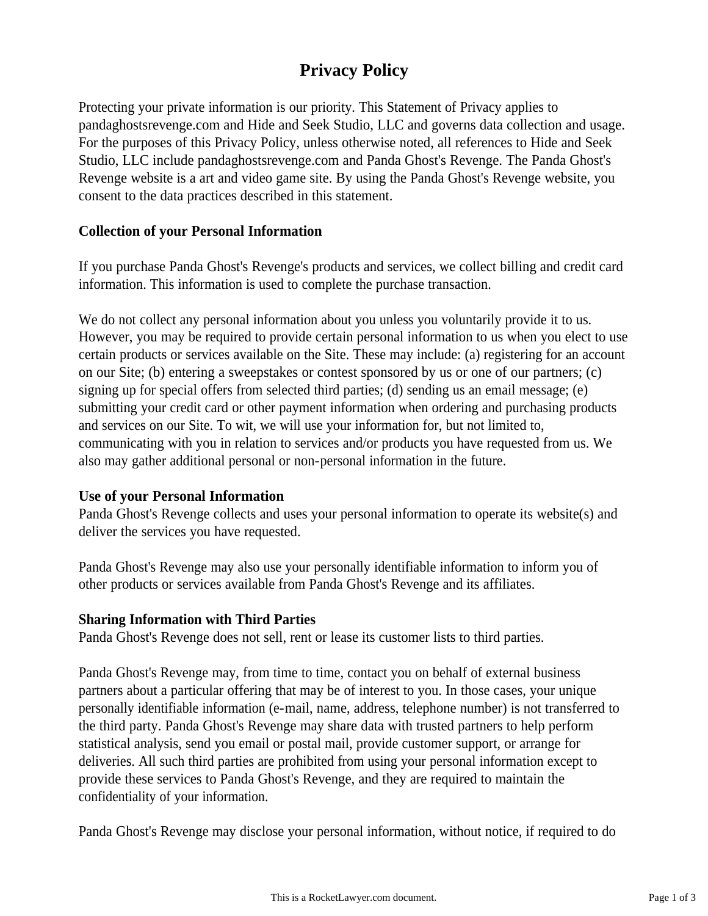# **Privacy Policy**

Protecting your private information is our priority. This Statement of Privacy applies to pandaghostsrevenge.com and Hide and Seek Studio, LLC and governs data collection and usage. For the purposes of this Privacy Policy, unless otherwise noted, all references to Hide and Seek Studio, LLC include pandaghostsrevenge.com and Panda Ghost's Revenge. The Panda Ghost's Revenge website is a art and video game site. By using the Panda Ghost's Revenge website, you consent to the data practices described in this statement.

### **Collection of your Personal Information**

If you purchase Panda Ghost's Revenge's products and services, we collect billing and credit card information. This information is used to complete the purchase transaction.

We do not collect any personal information about you unless you voluntarily provide it to us. However, you may be required to provide certain personal information to us when you elect to use certain products or services available on the Site. These may include: (a) registering for an account on our Site; (b) entering a sweepstakes or contest sponsored by us or one of our partners; (c) signing up for special offers from selected third parties; (d) sending us an email message; (e) submitting your credit card or other payment information when ordering and purchasing products and services on our Site. To wit, we will use your information for, but not limited to, communicating with you in relation to services and/or products you have requested from us. We also may gather additional personal or non-personal information in the future.

### **Use of your Personal Information**

Panda Ghost's Revenge collects and uses your personal information to operate its website(s) and deliver the services you have requested.

Panda Ghost's Revenge may also use your personally identifiable information to inform you of other products or services available from Panda Ghost's Revenge and its affiliates.

# **Sharing Information with Third Parties**

Panda Ghost's Revenge does not sell, rent or lease its customer lists to third parties.

Panda Ghost's Revenge may, from time to time, contact you on behalf of external business partners about a particular offering that may be of interest to you. In those cases, your unique personally identifiable information (e-mail, name, address, telephone number) is not transferred to the third party. Panda Ghost's Revenge may share data with trusted partners to help perform statistical analysis, send you email or postal mail, provide customer support, or arrange for deliveries. All such third parties are prohibited from using your personal information except to provide these services to Panda Ghost's Revenge, and they are required to maintain the confidentiality of your information.

Panda Ghost's Revenge may disclose your personal information, without notice, if required to do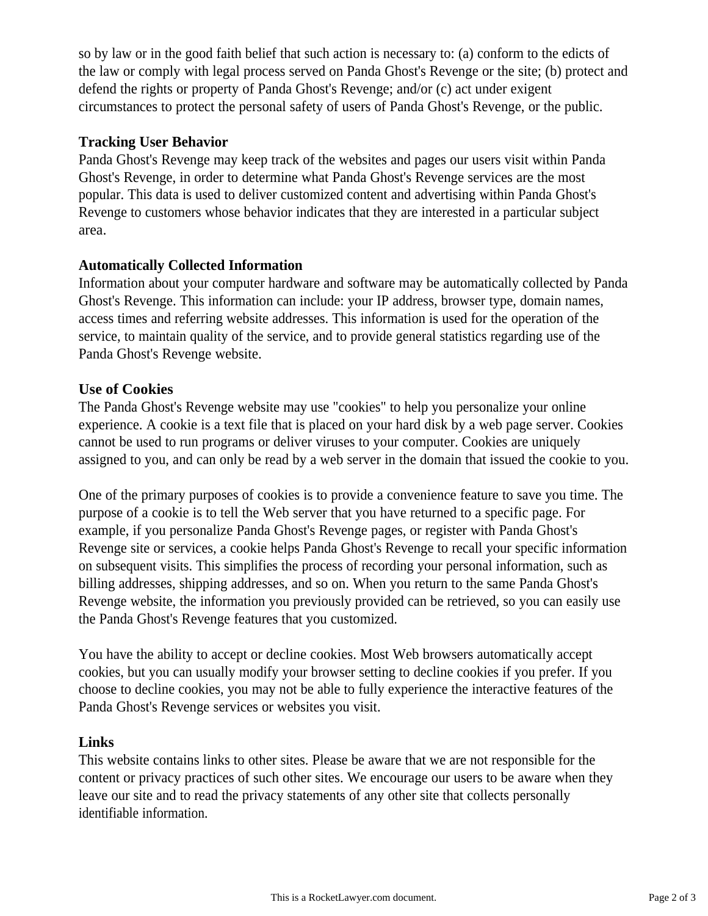so by law or in the good faith belief that such action is necessary to: (a) conform to the edicts of the law or comply with legal process served on Panda Ghost's Revenge or the site; (b) protect and defend the rights or property of Panda Ghost's Revenge; and/or (c) act under exigent circumstances to protect the personal safety of users of Panda Ghost's Revenge, or the public.

# **Tracking User Behavior**

Panda Ghost's Revenge may keep track of the websites and pages our users visit within Panda Ghost's Revenge, in order to determine what Panda Ghost's Revenge services are the most popular. This data is used to deliver customized content and advertising within Panda Ghost's Revenge to customers whose behavior indicates that they are interested in a particular subject area.

# **Automatically Collected Information**

Information about your computer hardware and software may be automatically collected by Panda Ghost's Revenge. This information can include: your IP address, browser type, domain names, access times and referring website addresses. This information is used for the operation of the service, to maintain quality of the service, and to provide general statistics regarding use of the Panda Ghost's Revenge website.

# **Use of Cookies**

The Panda Ghost's Revenge website may use "cookies" to help you personalize your online experience. A cookie is a text file that is placed on your hard disk by a web page server. Cookies cannot be used to run programs or deliver viruses to your computer. Cookies are uniquely assigned to you, and can only be read by a web server in the domain that issued the cookie to you.

One of the primary purposes of cookies is to provide a convenience feature to save you time. The purpose of a cookie is to tell the Web server that you have returned to a specific page. For example, if you personalize Panda Ghost's Revenge pages, or register with Panda Ghost's Revenge site or services, a cookie helps Panda Ghost's Revenge to recall your specific information on subsequent visits. This simplifies the process of recording your personal information, such as billing addresses, shipping addresses, and so on. When you return to the same Panda Ghost's Revenge website, the information you previously provided can be retrieved, so you can easily use the Panda Ghost's Revenge features that you customized.

You have the ability to accept or decline cookies. Most Web browsers automatically accept cookies, but you can usually modify your browser setting to decline cookies if you prefer. If you choose to decline cookies, you may not be able to fully experience the interactive features of the Panda Ghost's Revenge services or websites you visit.

# **Links**

This website contains links to other sites. Please be aware that we are not responsible for the content or privacy practices of such other sites. We encourage our users to be aware when they leave our site and to read the privacy statements of any other site that collects personally identifiable information.